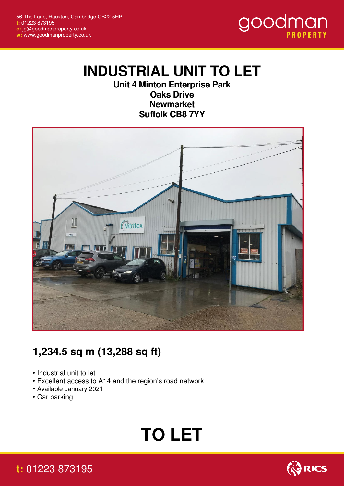

## **INDUSTRIAL UNIT TO LET**

**Unit 4 Minton Enterprise Park Oaks Drive Newmarket Suffolk CB8 7YY**



## **1,234.5 sq m (13,288 sq ft)**

- Industrial unit to let
- Excellent access to A14 and the region's road network
- Available January 2021
- Car parking

# **TO LET**



### **t:** 01223 873195